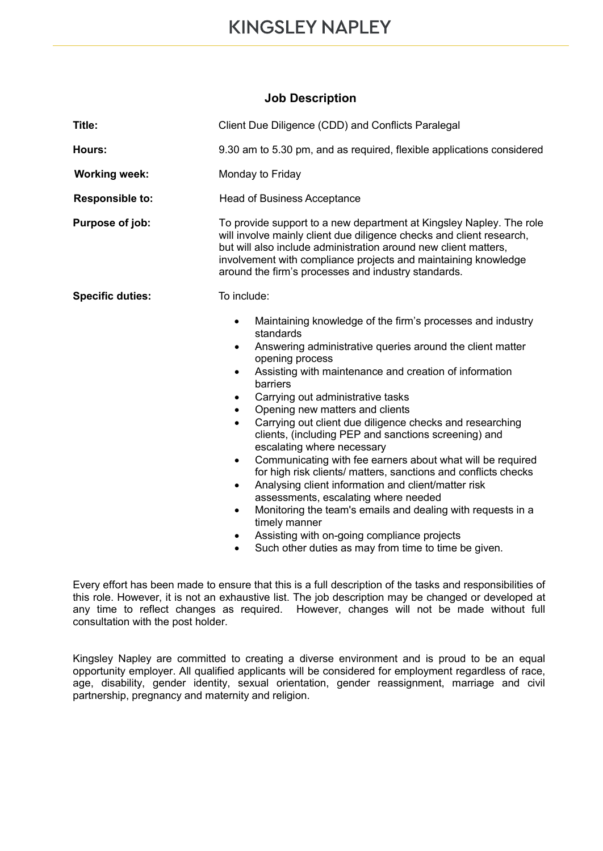## **Job Description**

| Title:                  | Client Due Diligence (CDD) and Conflicts Paralegal                                                                                                                                                                                                                                                                                                                                                                                                                                                                                                                                                                                                                                                                                                                                                                                                                                                                                                                 |
|-------------------------|--------------------------------------------------------------------------------------------------------------------------------------------------------------------------------------------------------------------------------------------------------------------------------------------------------------------------------------------------------------------------------------------------------------------------------------------------------------------------------------------------------------------------------------------------------------------------------------------------------------------------------------------------------------------------------------------------------------------------------------------------------------------------------------------------------------------------------------------------------------------------------------------------------------------------------------------------------------------|
| Hours:                  | 9.30 am to 5.30 pm, and as required, flexible applications considered                                                                                                                                                                                                                                                                                                                                                                                                                                                                                                                                                                                                                                                                                                                                                                                                                                                                                              |
| <b>Working week:</b>    | Monday to Friday                                                                                                                                                                                                                                                                                                                                                                                                                                                                                                                                                                                                                                                                                                                                                                                                                                                                                                                                                   |
| <b>Responsible to:</b>  | <b>Head of Business Acceptance</b>                                                                                                                                                                                                                                                                                                                                                                                                                                                                                                                                                                                                                                                                                                                                                                                                                                                                                                                                 |
| Purpose of job:         | To provide support to a new department at Kingsley Napley. The role<br>will involve mainly client due diligence checks and client research,<br>but will also include administration around new client matters,<br>involvement with compliance projects and maintaining knowledge<br>around the firm's processes and industry standards.                                                                                                                                                                                                                                                                                                                                                                                                                                                                                                                                                                                                                            |
| <b>Specific duties:</b> | To include:<br>Maintaining knowledge of the firm's processes and industry<br>$\bullet$<br>standards<br>Answering administrative queries around the client matter<br>$\bullet$<br>opening process<br>Assisting with maintenance and creation of information<br>٠<br>barriers<br>Carrying out administrative tasks<br>Opening new matters and clients<br>Carrying out client due diligence checks and researching<br>clients, (including PEP and sanctions screening) and<br>escalating where necessary<br>Communicating with fee earners about what will be required<br>$\bullet$<br>for high risk clients/ matters, sanctions and conflicts checks<br>Analysing client information and client/matter risk<br>$\bullet$<br>assessments, escalating where needed<br>Monitoring the team's emails and dealing with requests in a<br>$\bullet$<br>timely manner<br>Assisting with on-going compliance projects<br>Such other duties as may from time to time be given. |

Every effort has been made to ensure that this is a full description of the tasks and responsibilities of this role. However, it is not an exhaustive list. The job description may be changed or developed at any time to reflect changes as required. However, changes will not be made without full consultation with the post holder.

Kingsley Napley are committed to creating a diverse environment and is proud to be an equal opportunity employer. All qualified applicants will be considered for employment regardless of race, age, disability, gender identity, sexual orientation, gender reassignment, marriage and civil partnership, pregnancy and maternity and religion.